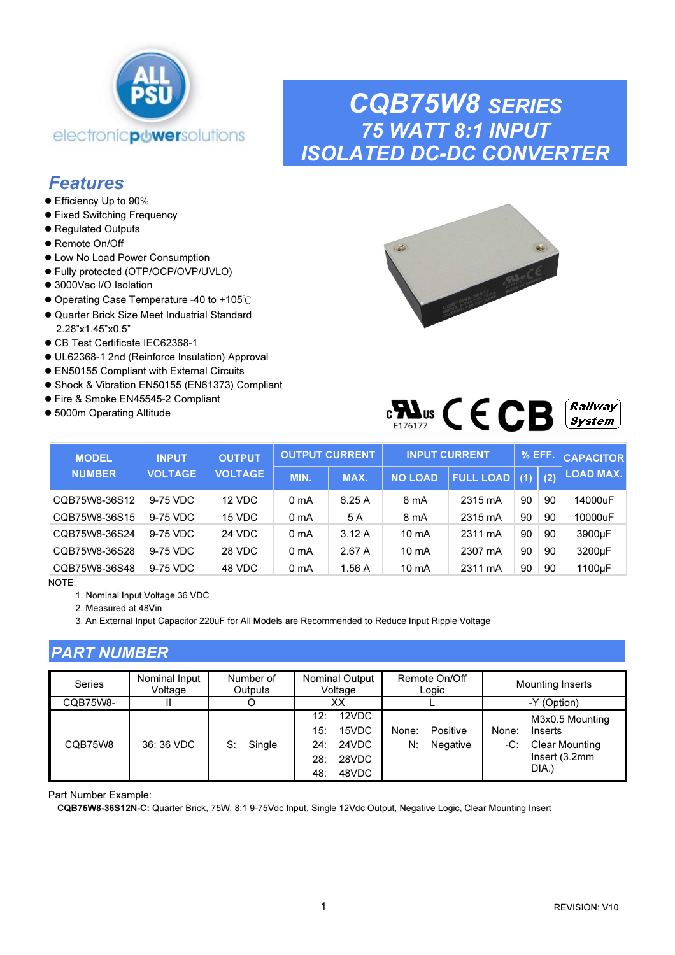

## CQB75W8 SERIES 75 WATT 8:1 INPUT ISOLATED DC-DC CONVERTER

### **Features**

- Efficiency Up to 90%
- **Fixed Switching Frequency**
- Regulated Outputs
- Remote On/Off
- Low No Load Power Consumption
- Fully protected (OTP/OCP/OVP/UVLO)
- 3000Vac I/O Isolation
- Operating Case Temperature -40 to +105℃
- Quarter Brick Size Meet Industrial Standard 2.28"x1.45"x0.5"
- CB Test Certificate IEC62368-1
- UL62368-1 2nd (Reinforce Insulation) Approval
- EN50155 Compliant with External Circuits
- Shock & Vibration EN50155 (EN61373) Compliant
- Fire & Smoke EN45545-2 Compliant
- 5000m Operating Altitude



| πт.<br>WS<br>F1761 |  |  | ╶ | <i><b>Railway</b></i><br>$S$ vstem $\perp$ |
|--------------------|--|--|---|--------------------------------------------|
|--------------------|--|--|---|--------------------------------------------|

| <b>MODEL</b>  | <b>INPUT</b>   | <b>OUTPUT</b>  |                  | <b>OUTPUT CURRENT</b> |                 | <b>INPUT CURRENT</b> | $\%$ EFF. |     | <b>CAPACITOR</b> |
|---------------|----------------|----------------|------------------|-----------------------|-----------------|----------------------|-----------|-----|------------------|
| <b>NUMBER</b> | <b>VOLTAGE</b> | <b>VOLTAGE</b> | MIN.             | MAX.                  | <b>NO LOAD</b>  | <b>FULL LOAD</b>     | (1)       | (2) | <b>LOAD MAX.</b> |
| CQB75W8-36S12 | 9-75 VDC       | 12 VDC         | 0 <sub>m</sub> A | 6.25A                 | 8 mA            | 2315 mA              | 90        | 90  | 14000uF          |
| CQB75W8-36S15 | 9-75 VDC       | 15 VDC         | 0 <sub>m</sub> A | 5 A                   | 8 mA            | 2315 mA              | 90        | 90  | 10000uF          |
| CQB75W8-36S24 | 9-75 VDC       | <b>24 VDC</b>  | 0 <sub>m</sub> A | 3.12A                 | $10 \text{ mA}$ | 2311 mA              | 90        | 90  | 3900µF           |
| CQB75W8-36S28 | 9-75 VDC       | 28 VDC         | 0 mA             | 2.67 A                | 10 mA           | 2307 mA              | 90        | 90  | 3200µF           |
| CQB75W8-36S48 | 9-75 VDC       | 48 VDC         | 0 mA             | 1.56A                 | $10 \text{ mA}$ | 2311 mA              | 90        | 90  | 1100µF           |

NOTE:

1. Nominal Input Voltage 36 VDC

2. Measured at 48Vin

3. An External Input Capacitor 220uF for All Models are Recommended to Reduce Input Ripple Voltage

### PART NUMBER

| Series   | Nominal Input<br>Voltage | Number of<br>Outputs | <b>Nominal Output</b><br>Remote On/Off<br>Voltage<br>Logic                            |                                     | <b>Mounting Inserts</b>                                                                       |
|----------|--------------------------|----------------------|---------------------------------------------------------------------------------------|-------------------------------------|-----------------------------------------------------------------------------------------------|
| CQB75W8- |                          |                      | XХ                                                                                    |                                     | -Y (Option)                                                                                   |
| CQB75W8  | 36: 36 VDC               | Single<br>S:         | 12VDC<br>$12^{\circ}$<br>15VDC<br>15:<br>24VDC<br>24:<br>28VDC<br>28:<br>48VDC<br>48: | Positive<br>None:<br>N:<br>Negative | M3x0.5 Mounting<br>None:<br>Inserts<br><b>Clear Mounting</b><br>-C:<br>Insert(3.2mm)<br>DIA.) |

Part Number Example:

CQB75W8-36S12N-C: Quarter Brick, 75W, 8:1 9-75Vdc Input, Single 12Vdc Output, Negative Logic, Clear Mounting Insert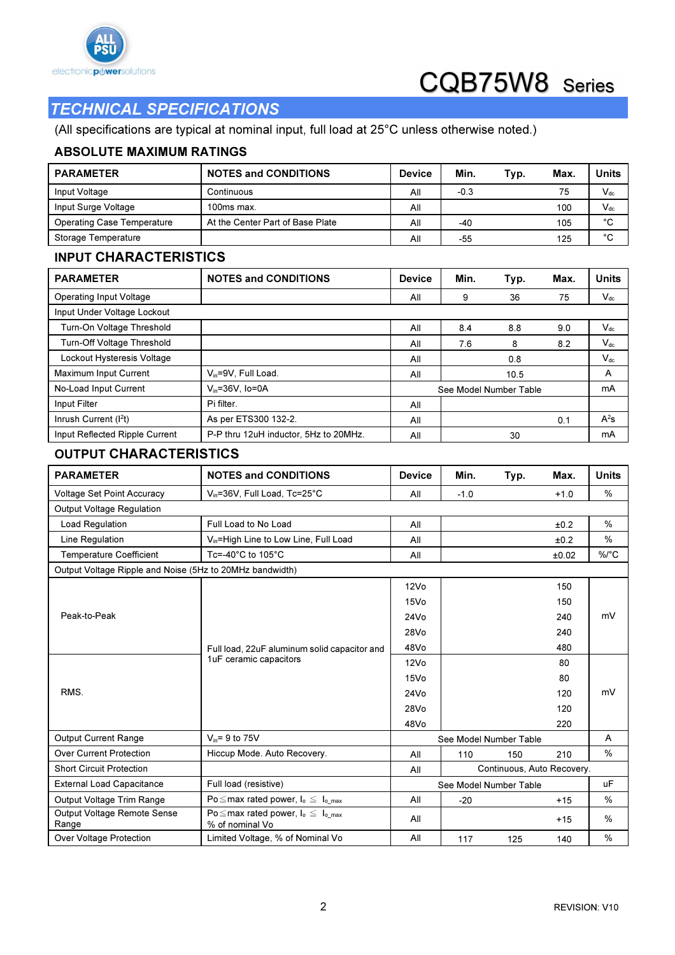

### TECHNICAL SPECIFICATIONS

(All specifications are typical at nominal input, full load at 25°C unless otherwise noted.)

#### ABSOLUTE MAXIMUM RATINGS

| <b>PARAMETER</b>                                         | <b>NOTES and CONDITIONS</b>                                        | <b>Device</b>                     | Min.         | Typ.                   | Max.   | <b>Units</b> |
|----------------------------------------------------------|--------------------------------------------------------------------|-----------------------------------|--------------|------------------------|--------|--------------|
| Input Voltage                                            | Continuous                                                         | All                               | $-0.3$<br>75 |                        |        | $V_{dc}$     |
| Input Surge Voltage                                      | 100ms max.                                                         | All                               |              |                        | 100    | $V_{dc}$     |
| <b>Operating Case Temperature</b>                        | At the Center Part of Base Plate                                   | All                               | -40          |                        | 105    | °C           |
| Storage Temperature                                      |                                                                    | All                               | -55          |                        | 125    | $^{\circ}$ C |
| <b>INPUT CHARACTERISTICS</b>                             |                                                                    |                                   |              |                        |        |              |
| <b>PARAMETER</b>                                         | <b>NOTES and CONDITIONS</b>                                        | <b>Device</b>                     | Min.         | Typ.                   | Max.   | <b>Units</b> |
| Operating Input Voltage                                  |                                                                    | All                               | 9            | 36                     | 75     | $V_{dc}$     |
| Input Under Voltage Lockout                              |                                                                    |                                   |              |                        |        |              |
| Turn-On Voltage Threshold                                |                                                                    | All                               | 8.4          | 8.8                    | 9.0    | $V_{dc}$     |
| Turn-Off Voltage Threshold                               |                                                                    | All                               | 7.6          | 8                      | 8.2    | $V_{dc}$     |
| Lockout Hysteresis Voltage                               |                                                                    | All                               |              | 0.8                    |        | $V_{dc}$     |
| Maximum Input Current                                    | V <sub>in</sub> =9V, Full Load.                                    | All                               |              | 10.5                   |        | А            |
| No-Load Input Current                                    | $V_{in} = 36V$ , Io=0A                                             |                                   |              | See Model Number Table |        | mA           |
| Input Filter                                             | Pi filter.                                                         | All                               |              |                        |        |              |
| Inrush Current (I <sup>2</sup> t)                        | As per ETS300 132-2.                                               | All                               |              |                        | 0.1    | $A^2s$       |
| Input Reflected Ripple Current                           | P-P thru 12uH inductor, 5Hz to 20MHz.                              | All                               |              | 30                     |        | mA           |
| <b>OUTPUT CHARACTERISTICS</b>                            |                                                                    |                                   |              |                        |        |              |
| <b>PARAMETER</b>                                         | <b>NOTES and CONDITIONS</b>                                        | <b>Device</b>                     | Min.         | Typ.                   | Max.   | <b>Units</b> |
| Voltage Set Point Accuracy                               | V <sub>in</sub> =36V, Full Load, Tc=25°C                           | All                               | $-1.0$       |                        | $+1.0$ | %            |
| Output Voltage Regulation                                |                                                                    |                                   |              |                        |        |              |
| Load Regulation                                          | Full Load to No Load                                               | All                               |              |                        | ±0.2   | %            |
| Line Regulation                                          | V <sub>in</sub> =High Line to Low Line, Full Load                  | All                               |              |                        | ±0.2   | %            |
| <b>Temperature Coefficient</b>                           | Tc=-40 $^{\circ}$ C to 105 $^{\circ}$ C                            | All                               |              |                        | ±0.02  | %/°C         |
| Output Voltage Ripple and Noise (5Hz to 20MHz bandwidth) |                                                                    |                                   |              |                        |        |              |
|                                                          |                                                                    | 12V <sub>O</sub>                  |              |                        | 150    |              |
|                                                          |                                                                    | 15Vo                              |              |                        | 150    |              |
| Peak-to-Peak                                             |                                                                    | 24Vo                              |              |                        | 240    | mV           |
|                                                          |                                                                    | 28Vo                              |              |                        | 240    |              |
|                                                          | Full load, 22uF aluminum solid capacitor and                       | 48Vo                              |              |                        | 480    |              |
|                                                          | 1uF ceramic capacitors                                             | 12V <sub>O</sub>                  |              |                        | 80     |              |
|                                                          |                                                                    | 15Vo                              |              |                        | 80     |              |
| RMS.                                                     |                                                                    | 24Vo                              |              |                        | 120    | mV           |
|                                                          |                                                                    | 28Vo                              |              |                        | 120    |              |
|                                                          |                                                                    | 48Vo                              |              |                        | 220    |              |
| Output Current Range                                     | $V_{in}$ = 9 to 75V                                                |                                   |              | See Model Number Table |        | A            |
| <b>Over Current Protection</b>                           | Hiccup Mode. Auto Recovery.                                        | All                               | 110          | 150                    | 210    | %            |
| <b>Short Circuit Protection</b>                          |                                                                    | Continuous, Auto Recovery.<br>All |              |                        |        |              |
| <b>External Load Capacitance</b>                         | Full load (resistive)                                              |                                   |              | See Model Number Table |        | uF           |
| Output Voltage Trim Range                                | Po $\leq$ max rated power, $I_0 \leq I_0$ max                      | All                               | $-20$        |                        | $+15$  | %            |
| Output Voltage Remote Sense<br>Range                     | Po $\leq$ max rated power, $I_o \leq I_{o,max}$<br>% of nominal Vo | All                               |              |                        | $+15$  | %            |
| Over Voltage Protection                                  | Limited Voltage, % of Nominal Vo                                   | All                               | 117          | 125                    | 140    | $\%$         |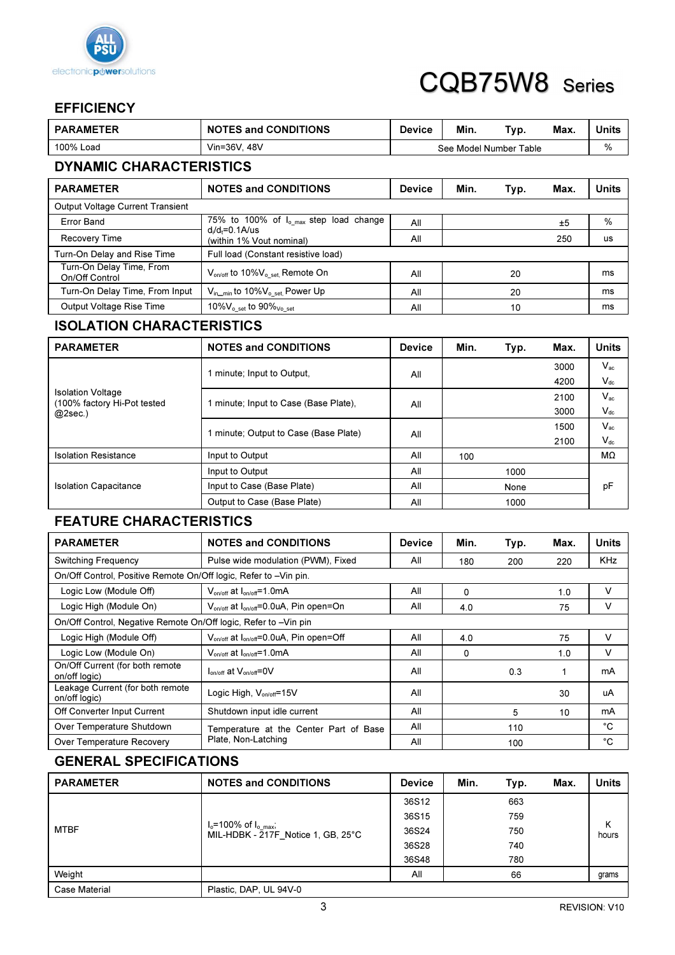

### **EFFICIENCY**

| <b>PARAMETER</b>                           | <b>NOTES and CONDITIONS</b>                                       | <b>Device</b> | Min. | Typ.                   | Max. | <b>Units</b> |  |
|--------------------------------------------|-------------------------------------------------------------------|---------------|------|------------------------|------|--------------|--|
| 100% Load                                  | Vin=36V, 48V                                                      |               |      | See Model Number Table |      | %            |  |
| <b>DYNAMIC CHARACTERISTICS</b>             |                                                                   |               |      |                        |      |              |  |
| <b>PARAMETER</b>                           | <b>NOTES and CONDITIONS</b>                                       | <b>Device</b> | Min. | Typ.                   | Max. | <b>Units</b> |  |
| <b>Output Voltage Current Transient</b>    |                                                                   |               |      |                        |      |              |  |
| <b>Error Band</b>                          | 75% to 100% of I <sub>o_max</sub> step load change                | All           |      |                        | ±5   | %            |  |
| Recovery Time                              | $d_i/d_f = 0.1$ A/us<br>(within 1% Vout nominal)                  | All           |      |                        | 250  | us           |  |
| Turn-On Delay and Rise Time                | Full load (Constant resistive load)                               |               |      |                        |      |              |  |
| Turn-On Delay Time, From<br>On/Off Control | $V_{on/off}$ to 10% $V_{o,set}$ , Remote On                       | All           |      | 20                     |      | ms           |  |
| Turn-On Delay Time, From Input             | V <sub>in</sub> <sub>min</sub> to 10%V <sub>o_set,</sub> Power Up | All           |      | 20                     |      | ms           |  |
| Output Voltage Rise Time                   | 10% $V_{o, set}$ to 90% $V_{o, set}$                              | All           |      | 10                     |      | ms           |  |

### ISOLATION CHARACTERISTICS

| <b>PARAMETER</b>                                        | <b>NOTES and CONDITIONS</b>           | <b>Device</b> | Min. | Typ. | Max. | Units    |
|---------------------------------------------------------|---------------------------------------|---------------|------|------|------|----------|
|                                                         | 1 minute; Input to Output.            | All           |      |      | 3000 | $V_{ac}$ |
|                                                         |                                       |               |      |      | 4200 | $V_{dc}$ |
| <b>Isolation Voltage</b><br>(100% factory Hi-Pot tested | 1 minute; Input to Case (Base Plate). | All           |      |      | 2100 | $V_{ac}$ |
| $@2sec.$ )                                              |                                       |               |      |      | 3000 | $V_{dc}$ |
|                                                         | 1 minute; Output to Case (Base Plate) | All           |      |      | 1500 | $V_{ac}$ |
|                                                         |                                       |               |      |      | 2100 | $V_{dc}$ |
| <b>Isolation Resistance</b>                             | Input to Output                       | All           | 100  |      |      | MΩ       |
|                                                         | Input to Output                       | All           | 1000 |      |      |          |
| <b>Isolation Capacitance</b>                            | Input to Case (Base Plate)            | All<br>None   |      |      | рF   |          |
|                                                         | Output to Case (Base Plate)           | All           |      | 1000 |      |          |

### FEATURE CHARACTERISTICS

| <b>PARAMETER</b>                                                 | <b>NOTES and CONDITIONS</b>                                     | <b>Device</b> | Min.     | Typ. | Max. | <b>Units</b> |  |
|------------------------------------------------------------------|-----------------------------------------------------------------|---------------|----------|------|------|--------------|--|
| <b>Switching Frequency</b>                                       | Pulse wide modulation (PWM), Fixed                              | All           | 180      | 200  | 220  | <b>KHz</b>   |  |
| On/Off Control, Positive Remote On/Off logic, Refer to -Vin pin. |                                                                 |               |          |      |      |              |  |
| Logic Low (Module Off)                                           | $V_{on/off}$ at $I_{on/off}$ =1.0mA                             | All           | $\Omega$ |      | 1.0  | v            |  |
| Logic High (Module On)                                           | $V_{on/off}$ at $I_{on/off} = 0.0 uA$ , Pin open=On             | All           | 4.0      |      | 75   | v            |  |
| On/Off Control, Negative Remote On/Off logic, Refer to -Vin pin  |                                                                 |               |          |      |      |              |  |
| Logic High (Module Off)                                          | V <sub>on/off</sub> at I <sub>on/off</sub> =0.0uA, Pin open=Off | All           | 4.0      |      | 75   | v            |  |
| Logic Low (Module On)                                            | $V_{\text{on/off}}$ at $I_{\text{on/off}}$ =1.0mA               | All           | 0        |      | 1.0  | v            |  |
| On/Off Current (for both remote<br>on/off logic)                 | $I_{on/off}$ at $V_{on-off}$ =0V                                | All           |          | 0.3  | 1    | mA           |  |
| Leakage Current (for both remote<br>on/off logic)                | Logic High, $V_{on/off} = 15V$                                  | All           |          |      | 30   | uA           |  |
| Off Converter Input Current                                      | Shutdown input idle current                                     | All           |          | 5    | 10   | mA           |  |
| Over Temperature Shutdown                                        | Temperature at the Center Part of Base                          | All           |          | 110  |      | °C           |  |
| Over Temperature Recovery                                        | Plate, Non-Latching                                             | All           |          | 100  |      | °C           |  |

### GENERAL SPECIFICATIONS

| <b>PARAMETER</b> | <b>NOTES and CONDITIONS</b>                                                 | <b>Device</b> | Min. | Typ. | Max. | <b>Units</b> |
|------------------|-----------------------------------------------------------------------------|---------------|------|------|------|--------------|
| <b>MTBF</b>      |                                                                             | 36S12         |      | 663  |      |              |
|                  | $I_o = 100\% \text{ of } I_{o,max}$ ;<br>MIL-HDBK - 217F Notice 1, GB, 25°C | 36S15         |      | 759  |      | Κ<br>hours   |
|                  |                                                                             | 36S24         |      | 750  |      |              |
|                  |                                                                             | 36S28         |      | 740  |      |              |
|                  |                                                                             | 36S48         |      | 780  |      |              |
| Weight           |                                                                             | All           |      | 66   |      | grams        |
| Case Material    | Plastic, DAP, UL 94V-0                                                      |               |      |      |      |              |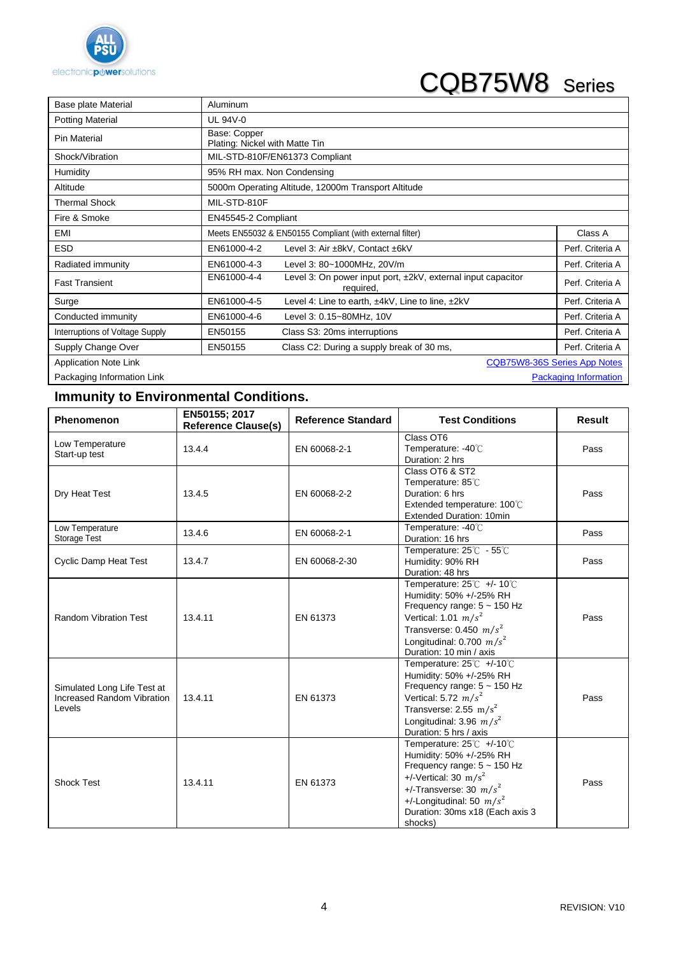

# CQB75W8 Series

| Base plate Material             | Aluminum                   |                                                                           |                              |  |  |
|---------------------------------|----------------------------|---------------------------------------------------------------------------|------------------------------|--|--|
| <b>Potting Material</b>         | <b>UL 94V-0</b>            |                                                                           |                              |  |  |
| Pin Material                    | Base: Copper               | Plating: Nickel with Matte Tin                                            |                              |  |  |
| Shock/Vibration                 |                            | MIL-STD-810F/EN61373 Compliant                                            |                              |  |  |
| Humidity                        | 95% RH max. Non Condensing |                                                                           |                              |  |  |
| Altitude                        |                            | 5000m Operating Altitude, 12000m Transport Altitude                       |                              |  |  |
| <b>Thermal Shock</b>            | MIL-STD-810F               |                                                                           |                              |  |  |
| Fire & Smoke                    | EN45545-2 Compliant        |                                                                           |                              |  |  |
| EMI                             |                            | Meets EN55032 & EN50155 Compliant (with external filter)                  | Class A                      |  |  |
| <b>ESD</b>                      | EN61000-4-2                | Level 3: Air ±8kV, Contact ±6kV                                           | Perf. Criteria A             |  |  |
| Radiated immunity               | EN61000-4-3                | Level 3: 80~1000MHz, 20V/m                                                | Perf. Criteria A             |  |  |
| <b>Fast Transient</b>           | EN61000-4-4                | Level 3: On power input port, ±2kV, external input capacitor<br>required, | Perf. Criteria A             |  |  |
| Surge                           | EN61000-4-5                | Level 4: Line to earth, ±4kV, Line to line, ±2kV                          | Perf. Criteria A             |  |  |
| Conducted immunity              | EN61000-4-6                | Level 3: 0.15~80MHz, 10V                                                  | Perf. Criteria A             |  |  |
| Interruptions of Voltage Supply | EN50155                    | Class S3: 20ms interruptions                                              | Perf. Criteria A             |  |  |
| Supply Change Over              | EN50155                    | Class C2: During a supply break of 30 ms,                                 | Perf. Criteria A             |  |  |
| <b>Application Note Link</b>    |                            |                                                                           | CQB75W8-36S Series App Notes |  |  |
| Packaging Information Link      |                            |                                                                           | <b>Packaging Information</b> |  |  |

### **Immunity to Environmental Conditions.**

| Phenomenon                                                          | EN50155; 2017<br><b>Reference Clause(s)</b> | <b>Reference Standard</b> | <b>Test Conditions</b>                                                                                                                                                                                                          | Result |
|---------------------------------------------------------------------|---------------------------------------------|---------------------------|---------------------------------------------------------------------------------------------------------------------------------------------------------------------------------------------------------------------------------|--------|
| Low Temperature<br>Start-up test                                    | 13.4.4                                      | EN 60068-2-1              | Class OT6<br>Temperature: -40℃<br>Duration: 2 hrs                                                                                                                                                                               | Pass   |
| Dry Heat Test                                                       | 13.4.5                                      | EN 60068-2-2              | Class OT6 & ST2<br>Temperature: 85℃<br>Duration: 6 hrs<br>Extended temperature: 100°C<br><b>Extended Duration: 10min</b>                                                                                                        | Pass   |
| Low Temperature<br>Storage Test                                     | 13.4.6                                      | EN 60068-2-1              | Temperature: -40°C<br>Duration: 16 hrs                                                                                                                                                                                          | Pass   |
| <b>Cyclic Damp Heat Test</b>                                        | 13.4.7                                      | EN 60068-2-30             | Temperature: 25°C - 55°C<br>Humidity: 90% RH<br>Duration: 48 hrs                                                                                                                                                                | Pass   |
| <b>Random Vibration Test</b>                                        | 13.4.11                                     | EN 61373                  | Temperature: $25^{\circ}$ C +/- 10 $^{\circ}$ C<br>Humidity: 50% +/-25% RH<br>Frequency range: $5 \sim 150$ Hz<br>Vertical: 1.01 $m/s^2$<br>Transverse: 0.450 $m/s^2$<br>Longitudinal: 0.700 $m/s^2$<br>Duration: 10 min / axis | Pass   |
| Simulated Long Life Test at<br>Increased Random Vibration<br>Levels | 13.4.11                                     | EN 61373                  | Temperature: 25℃ +/-10℃<br>Humidity: 50% +/-25% RH<br>Frequency range: $5 \sim 150$ Hz<br>Vertical: 5.72 $m/s^2$<br>Transverse: 2.55 m/s <sup>2</sup><br>Longitudinal: 3.96 $m/s^2$<br>Duration: 5 hrs / axis                   | Pass   |
| <b>Shock Test</b>                                                   | 13.4.11                                     | EN 61373                  | Temperature: 25℃ +/-10℃<br>Humidity: 50% +/-25% RH<br>Frequency range: $5 \sim 150$ Hz<br>+/-Vertical: 30 $m/s^2$<br>+/-Transverse: 30 $m/s^2$<br>+/-Longitudinal: 50 $m/s^2$<br>Duration: 30ms x18 (Each axis 3<br>shocks)     | Pass   |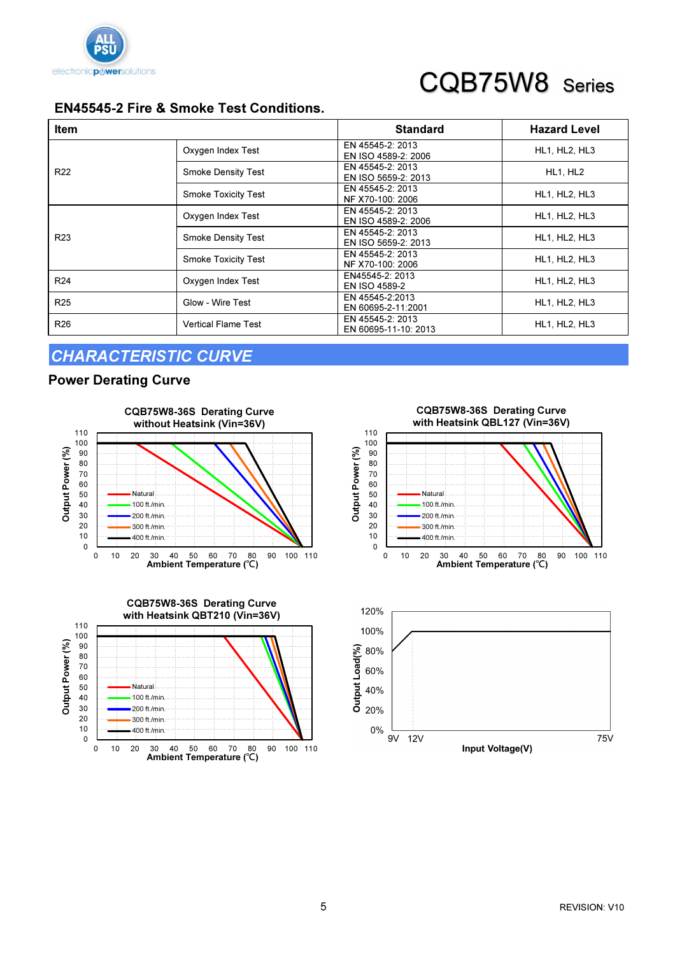

# CQB75W8 Series

### EN45545-2 Fire & Smoke Test Conditions.

| <b>Item</b>     |                            | <b>Standard</b>                          | <b>Hazard Level</b> |
|-----------------|----------------------------|------------------------------------------|---------------------|
|                 | Oxygen Index Test          | EN 45545-2: 2013<br>EN ISO 4589-2: 2006  | HL1, HL2, HL3       |
| R <sub>22</sub> | <b>Smoke Density Test</b>  | EN 45545-2: 2013<br>EN ISO 5659-2: 2013  | HL1, HL2            |
|                 | <b>Smoke Toxicity Test</b> | EN 45545-2: 2013<br>NF X70-100: 2006     | HL1, HL2, HL3       |
|                 | Oxygen Index Test          | EN 45545-2: 2013<br>EN ISO 4589-2: 2006  | HL1, HL2, HL3       |
| R <sub>23</sub> | <b>Smoke Density Test</b>  | EN 45545-2: 2013<br>EN ISO 5659-2: 2013  | HL1, HL2, HL3       |
|                 | <b>Smoke Toxicity Test</b> | EN 45545-2: 2013<br>NF X70-100: 2006     | HL1, HL2, HL3       |
| R <sub>24</sub> | Oxygen Index Test          | EN45545-2: 2013<br>EN ISO 4589-2         | HL1, HL2, HL3       |
| R <sub>25</sub> | Glow - Wire Test           | EN 45545-2:2013<br>EN 60695-2-11:2001    | HL1, HL2, HL3       |
| R <sub>26</sub> | <b>Vertical Flame Test</b> | EN 45545-2: 2013<br>EN 60695-11-10: 2013 | HL1, HL2, HL3       |

Output Power (%)

### CHARACTERISTIC CURVE

#### Power Derating Curve





0 10 20 30 40 50 60 70 80  $90$ 100 110 0 10 20 30 40 50 60 70 80 90 100 110 Ambient Temperature (℃) Output Power (%) CQB75W8-36S Derating Curve with Heatsink QBL127 (Vin=36V) **Natural** 100 ft./min. 200 ft./min. 300 ft./min. 400 ft./min.

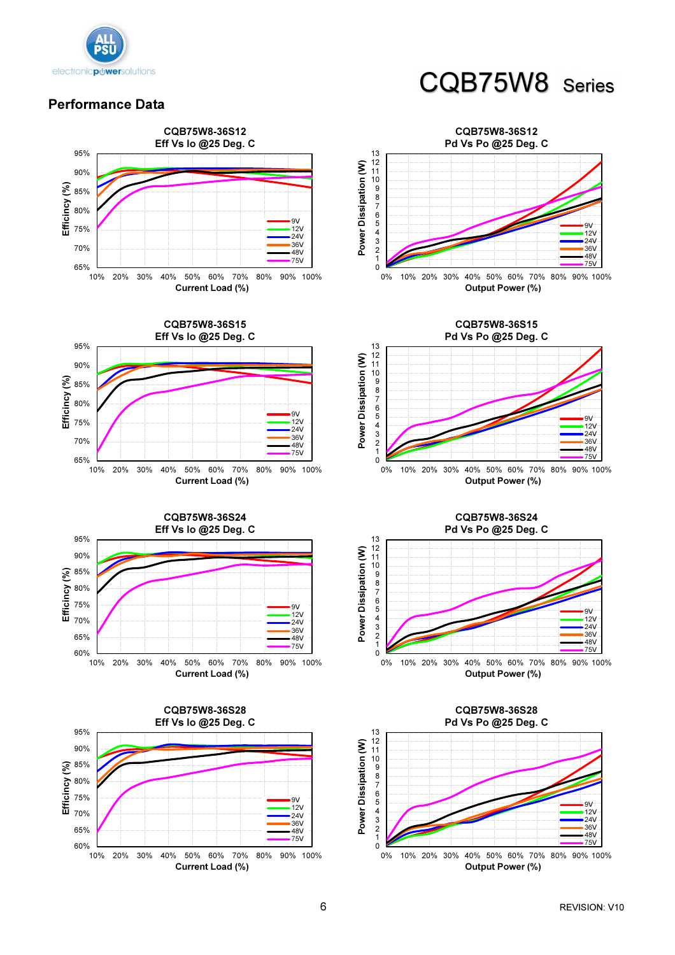

## CQB75W8 Series

#### Performance Data







Output Power (%)